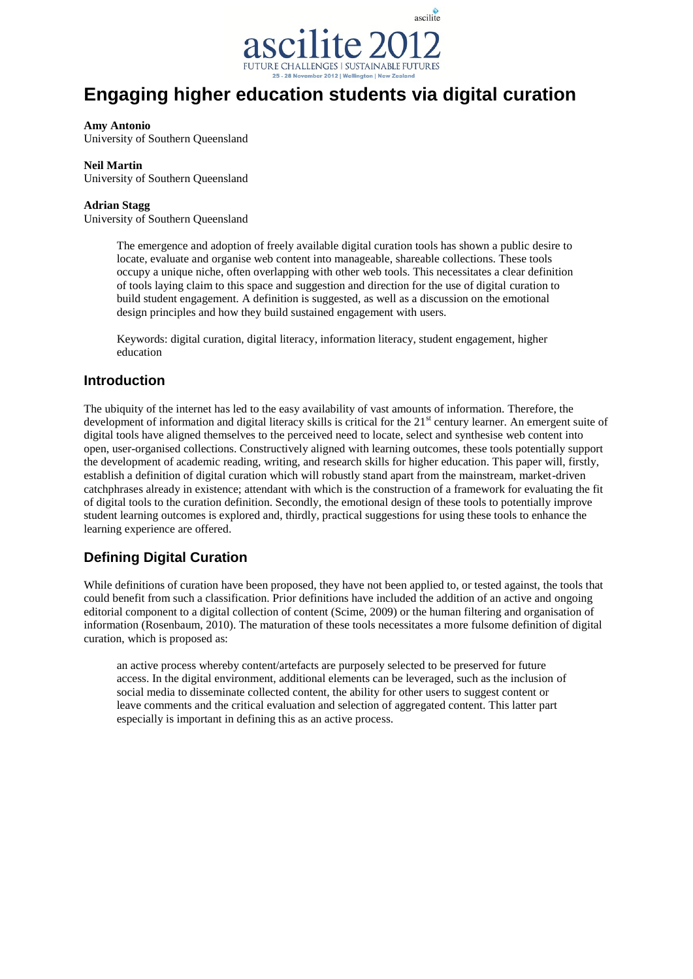

# **Engaging higher education students via digital curation**

#### **Amy Antonio**

University of Southern Queensland

#### **Neil Martin**

University of Southern Queensland

#### **Adrian Stagg**

University of Southern Queensland

The emergence and adoption of freely available digital curation tools has shown a public desire to locate, evaluate and organise web content into manageable, shareable collections. These tools occupy a unique niche, often overlapping with other web tools. This necessitates a clear definition of tools laying claim to this space and suggestion and direction for the use of digital curation to build student engagement. A definition is suggested, as well as a discussion on the emotional design principles and how they build sustained engagement with users.

Keywords: digital curation, digital literacy, information literacy, student engagement, higher education

#### **Introduction**

The ubiquity of the internet has led to the easy availability of vast amounts of information. Therefore, the development of information and digital literacy skills is critical for the 21<sup>st</sup> century learner. An emergent suite of digital tools have aligned themselves to the perceived need to locate, select and synthesise web content into open, user-organised collections. Constructively aligned with learning outcomes, these tools potentially support the development of academic reading, writing, and research skills for higher education. This paper will, firstly, establish a definition of digital curation which will robustly stand apart from the mainstream, market-driven catchphrases already in existence; attendant with which is the construction of a framework for evaluating the fit of digital tools to the curation definition. Secondly, the emotional design of these tools to potentially improve student learning outcomes is explored and, thirdly, practical suggestions for using these tools to enhance the learning experience are offered.

## **Defining Digital Curation**

While definitions of curation have been proposed, they have not been applied to, or tested against, the tools that could benefit from such a classification. Prior definitions have included the addition of an active and ongoing editorial component to a digital collection of content (Scime, 2009) or the human filtering and organisation of information (Rosenbaum, 2010). The maturation of these tools necessitates a more fulsome definition of digital curation, which is proposed as:

an active process whereby content/artefacts are purposely selected to be preserved for future access. In the digital environment, additional elements can be leveraged, such as the inclusion of social media to disseminate collected content, the ability for other users to suggest content or leave comments and the critical evaluation and selection of aggregated content. This latter part especially is important in defining this as an active process.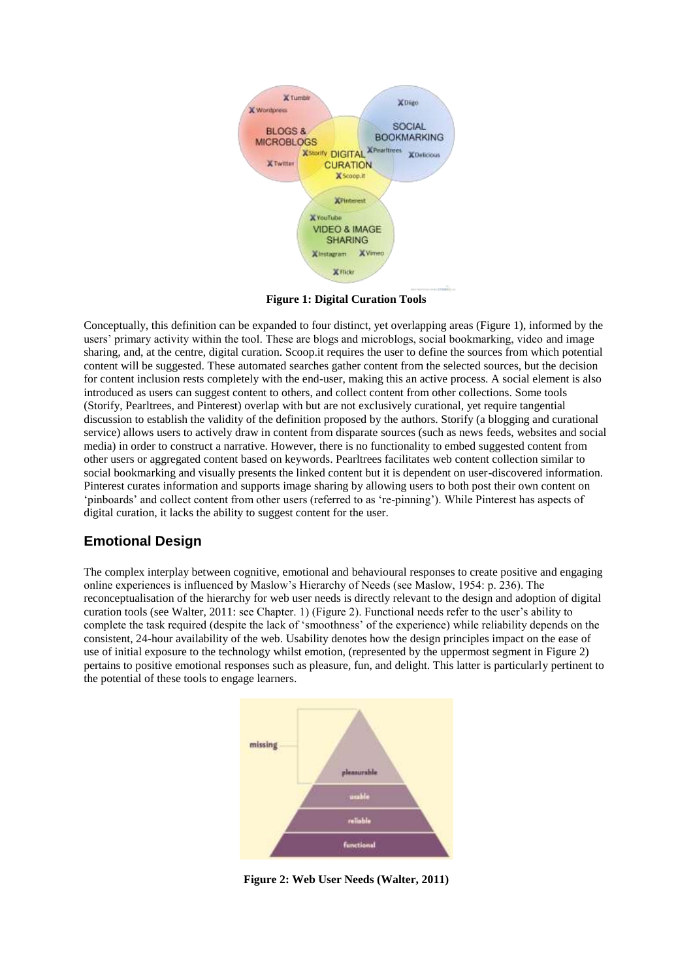

**Figure 1: Digital Curation Tools**

Conceptually, this definition can be expanded to four distinct, yet overlapping areas (Figure 1), informed by the users' primary activity within the tool. These are blogs and microblogs, social bookmarking, video and image sharing, and, at the centre, digital curation. Scoop.it requires the user to define the sources from which potential content will be suggested. These automated searches gather content from the selected sources, but the decision for content inclusion rests completely with the end-user, making this an active process. A social element is also introduced as users can suggest content to others, and collect content from other collections. Some tools (Storify, Pearltrees, and Pinterest) overlap with but are not exclusively curational, yet require tangential discussion to establish the validity of the definition proposed by the authors. Storify (a blogging and curational service) allows users to actively draw in content from disparate sources (such as news feeds, websites and social media) in order to construct a narrative. However, there is no functionality to embed suggested content from other users or aggregated content based on keywords. Pearltrees facilitates web content collection similar to social bookmarking and visually presents the linked content but it is dependent on user-discovered information. Pinterest curates information and supports image sharing by allowing users to both post their own content on 'pinboards' and collect content from other users (referred to as 're-pinning'). While Pinterest has aspects of digital curation, it lacks the ability to suggest content for the user.

## **Emotional Design**

The complex interplay between cognitive, emotional and behavioural responses to create positive and engaging online experiences is influenced by Maslow's Hierarchy of Needs (see Maslow, 1954: p. 236). The reconceptualisation of the hierarchy for web user needs is directly relevant to the design and adoption of digital curation tools (see Walter, 2011: see Chapter. 1) (Figure 2). Functional needs refer to the user's ability to complete the task required (despite the lack of 'smoothness' of the experience) while reliability depends on the consistent, 24-hour availability of the web. Usability denotes how the design principles impact on the ease of use of initial exposure to the technology whilst emotion, (represented by the uppermost segment in Figure 2) pertains to positive emotional responses such as pleasure, fun, and delight. This latter is particularly pertinent to the potential of these tools to engage learners.



**Figure 2: Web User Needs (Walter, 2011)**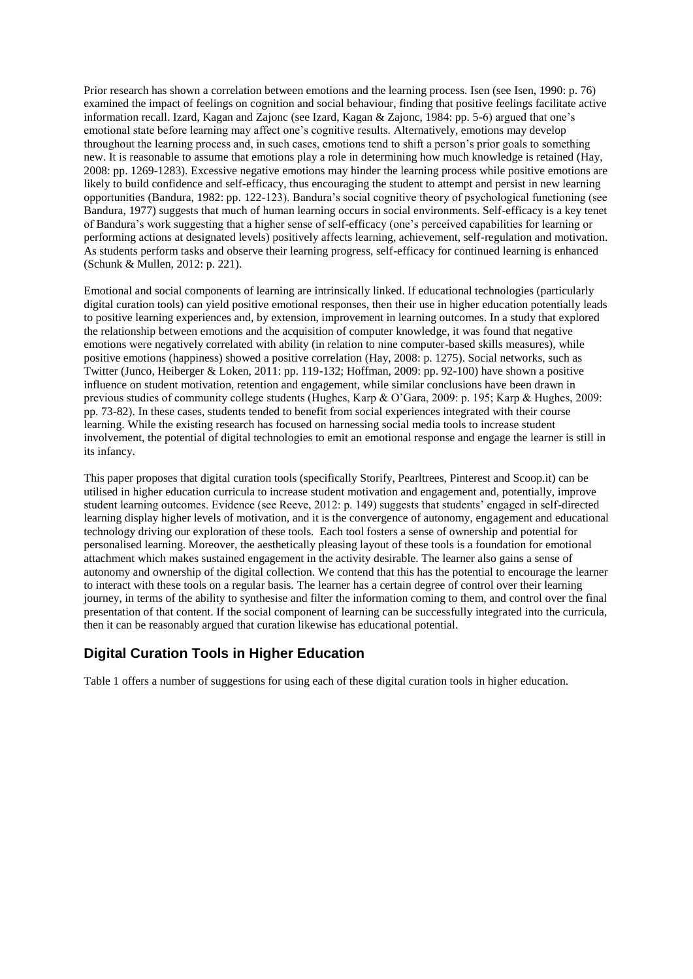Prior research has shown a correlation between emotions and the learning process. Isen (see Isen, 1990: p. 76) examined the impact of feelings on cognition and social behaviour, finding that positive feelings facilitate active information recall. Izard, Kagan and Zajonc (see Izard, Kagan & Zajonc, 1984: pp. 5-6) argued that one's emotional state before learning may affect one's cognitive results. Alternatively, emotions may develop throughout the learning process and, in such cases, emotions tend to shift a person's prior goals to something new. It is reasonable to assume that emotions play a role in determining how much knowledge is retained (Hay, 2008: pp. 1269-1283). Excessive negative emotions may hinder the learning process while positive emotions are likely to build confidence and self-efficacy, thus encouraging the student to attempt and persist in new learning opportunities (Bandura, 1982: pp. 122-123). Bandura's social cognitive theory of psychological functioning (see Bandura, 1977) suggests that much of human learning occurs in social environments. Self-efficacy is a key tenet of Bandura's work suggesting that a higher sense of self-efficacy (one's perceived capabilities for learning or performing actions at designated levels) positively affects learning, achievement, self-regulation and motivation. As students perform tasks and observe their learning progress, self-efficacy for continued learning is enhanced (Schunk & Mullen, 2012: p. 221).

Emotional and social components of learning are intrinsically linked. If educational technologies (particularly digital curation tools) can yield positive emotional responses, then their use in higher education potentially leads to positive learning experiences and, by extension, improvement in learning outcomes. In a study that explored the relationship between emotions and the acquisition of computer knowledge, it was found that negative emotions were negatively correlated with ability (in relation to nine computer-based skills measures), while positive emotions (happiness) showed a positive correlation (Hay, 2008: p. 1275). Social networks, such as Twitter (Junco, Heiberger & Loken, 2011: pp. 119-132; Hoffman, 2009: pp. 92-100) have shown a positive influence on student motivation, retention and engagement, while similar conclusions have been drawn in previous studies of community college students (Hughes, Karp & O'Gara, 2009: p. 195; Karp & Hughes, 2009: pp. 73-82). In these cases, students tended to benefit from social experiences integrated with their course learning. While the existing research has focused on harnessing social media tools to increase student involvement, the potential of digital technologies to emit an emotional response and engage the learner is still in its infancy.

This paper proposes that digital curation tools (specifically Storify, Pearltrees, Pinterest and Scoop.it) can be utilised in higher education curricula to increase student motivation and engagement and, potentially, improve student learning outcomes. Evidence (see Reeve, 2012: p. 149) suggests that students' engaged in self-directed learning display higher levels of motivation, and it is the convergence of autonomy, engagement and educational technology driving our exploration of these tools. Each tool fosters a sense of ownership and potential for personalised learning. Moreover, the aesthetically pleasing layout of these tools is a foundation for emotional attachment which makes sustained engagement in the activity desirable. The learner also gains a sense of autonomy and ownership of the digital collection. We contend that this has the potential to encourage the learner to interact with these tools on a regular basis. The learner has a certain degree of control over their learning journey, in terms of the ability to synthesise and filter the information coming to them, and control over the final presentation of that content. If the social component of learning can be successfully integrated into the curricula, then it can be reasonably argued that curation likewise has educational potential.

## **Digital Curation Tools in Higher Education**

Table 1 offers a number of suggestions for using each of these digital curation tools in higher education.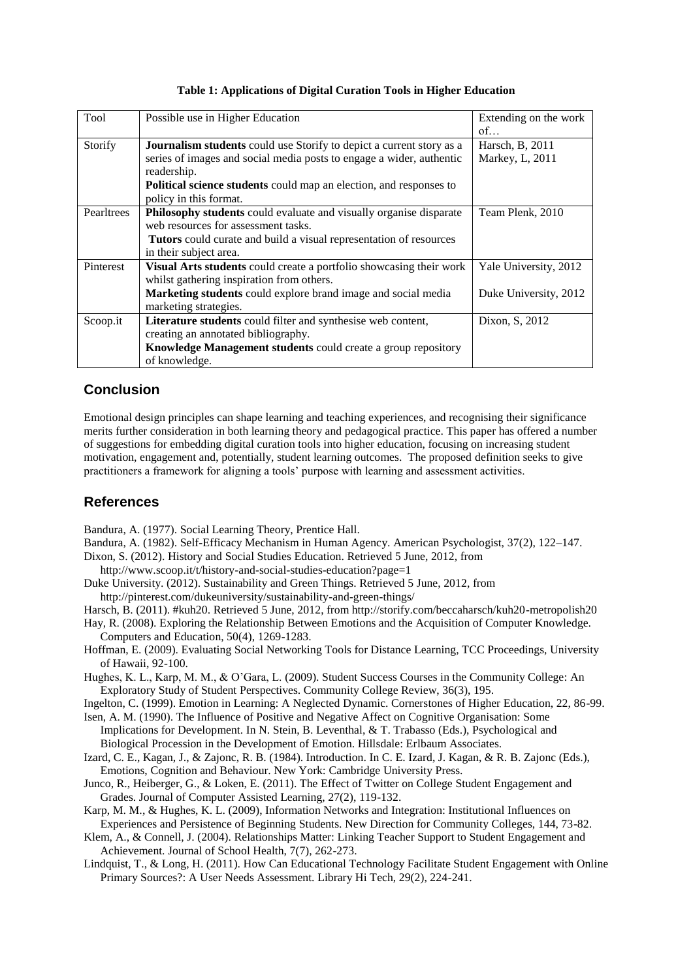| Tool       | Possible use in Higher Education                                            | Extending on the work |
|------------|-----------------------------------------------------------------------------|-----------------------|
|            |                                                                             | of                    |
| Storify    | <b>Journalism students</b> could use Storify to depict a current story as a | Harsch, B, 2011       |
|            | series of images and social media posts to engage a wider, authentic        | Markey, L, 2011       |
|            | readership.                                                                 |                       |
|            | <b>Political science students</b> could map an election, and responses to   |                       |
|            | policy in this format.                                                      |                       |
| Pearltrees | Philosophy students could evaluate and visually organise disparate          | Team Plenk, 2010      |
|            | web resources for assessment tasks.                                         |                       |
|            | <b>Tutors</b> could curate and build a visual representation of resources   |                       |
|            | in their subject area.                                                      |                       |
| Pinterest  | <b>Visual Arts students</b> could create a portfolio showcasing their work  | Yale University, 2012 |
|            | whilst gathering inspiration from others.                                   |                       |
|            | Marketing students could explore brand image and social media               | Duke University, 2012 |
|            | marketing strategies.                                                       |                       |
| Scoop.it   | Literature students could filter and synthesise web content,                | Dixon, S, 2012        |
|            | creating an annotated bibliography.                                         |                       |
|            | Knowledge Management students could create a group repository               |                       |
|            | of knowledge.                                                               |                       |

#### **Table 1: Applications of Digital Curation Tools in Higher Education**

## **Conclusion**

Emotional design principles can shape learning and teaching experiences, and recognising their significance merits further consideration in both learning theory and pedagogical practice. This paper has offered a number of suggestions for embedding digital curation tools into higher education, focusing on increasing student motivation, engagement and, potentially, student learning outcomes. The proposed definition seeks to give practitioners a framework for aligning a tools' purpose with learning and assessment activities.

## **References**

Bandura, A. (1977). Social Learning Theory, Prentice Hall.

- Bandura, A. (1982). Self-Efficacy Mechanism in Human Agency. American Psychologist, 37(2), 122–147.
- Dixon, S. (2012). History and Social Studies Education. Retrieved 5 June, 2012, from

http://www.scoop.it/t/history-and-social-studies-education?page=1

- Duke University. (2012). Sustainability and Green Things. Retrieved 5 June, 2012, from http://pinterest.com/dukeuniversity/sustainability-and-green-things/
- Harsch, B. (2011). #kuh20. Retrieved 5 June, 2012, from http://storify.com/beccaharsch/kuh20-metropolish20

Hay, R. (2008). Exploring the Relationship Between Emotions and the Acquisition of Computer Knowledge. Computers and Education, 50(4), 1269-1283.

Hoffman, E. (2009). Evaluating Social Networking Tools for Distance Learning, TCC Proceedings, University of Hawaii, 92-100.

Hughes, K. L., Karp, M. M., & O'Gara, L. (2009). Student Success Courses in the Community College: An Exploratory Study of Student Perspectives. Community College Review, 36(3), 195.

- Ingelton, C. (1999). Emotion in Learning: A Neglected Dynamic. Cornerstones of Higher Education, 22, 86-99.
- Isen, A. M. (1990). The Influence of Positive and Negative Affect on Cognitive Organisation: Some Implications for Development. In N. Stein, B. Leventhal, & T. Trabasso (Eds.), Psychological and Biological Procession in the Development of Emotion. Hillsdale: Erlbaum Associates.
- Izard, C. E., Kagan, J., & Zajonc, R. B. (1984). Introduction. In C. E. Izard, J. Kagan, & R. B. Zajonc (Eds.), Emotions, Cognition and Behaviour. New York: Cambridge University Press.
- Junco, R., Heiberger, G., & Loken, E. (2011). The Effect of Twitter on College Student Engagement and Grades. Journal of Computer Assisted Learning, 27(2), 119-132.
- Karp, M. M., & Hughes, K. L. (2009), Information Networks and Integration: Institutional Influences on Experiences and Persistence of Beginning Students. New Direction for Community Colleges, 144, 73-82.
- Klem, A., & Connell, J. (2004). Relationships Matter: Linking Teacher Support to Student Engagement and Achievement. Journal of School Health, 7(7), 262-273.
- Lindquist, T., & Long, H. (2011). How Can Educational Technology Facilitate Student Engagement with Online Primary Sources?: A User Needs Assessment. Library Hi Tech, 29(2), 224-241.